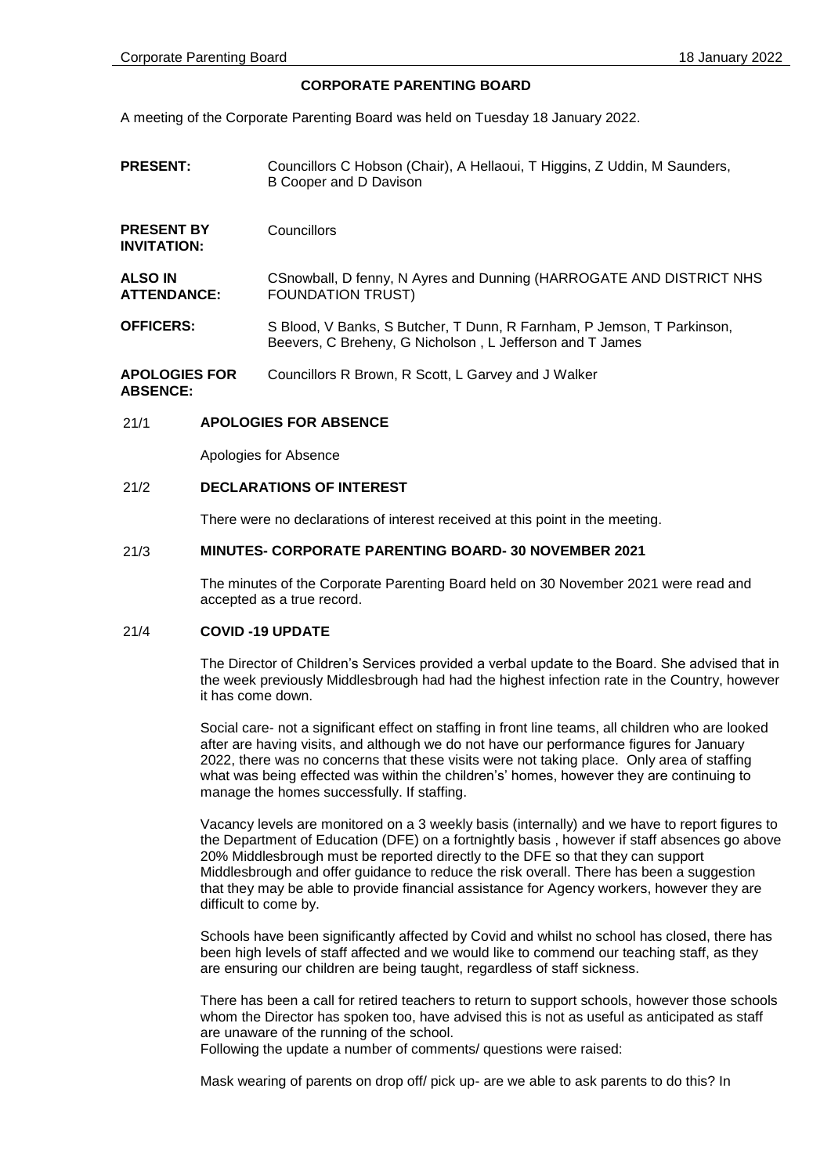# **CORPORATE PARENTING BOARD**

A meeting of the Corporate Parenting Board was held on Tuesday 18 January 2022.

- **PRESENT:** Councillors C Hobson (Chair), A Hellaoui, T Higgins, Z Uddin, M Saunders, B Cooper and D Davison
- **PRESENT BY INVITATION: Councillors**

**ALSO IN ATTENDANCE:** CSnowball, D fenny, N Ayres and Dunning (HARROGATE AND DISTRICT NHS FOUNDATION TRUST)

**OFFICERS:** S Blood, V Banks, S Butcher, T Dunn, R Farnham, P Jemson, T Parkinson, Beevers, C Breheny, G Nicholson , L Jefferson and T James

**APOLOGIES FOR ABSENCE:** Councillors R Brown, R Scott, L Garvey and J Walker

### 21/1 **APOLOGIES FOR ABSENCE**

Apologies for Absence

#### 21/2 **DECLARATIONS OF INTEREST**

There were no declarations of interest received at this point in the meeting.

#### 21/3 **MINUTES- CORPORATE PARENTING BOARD- 30 NOVEMBER 2021**

The minutes of the Corporate Parenting Board held on 30 November 2021 were read and accepted as a true record.

#### 21/4 **COVID -19 UPDATE**

The Director of Children's Services provided a verbal update to the Board. She advised that in the week previously Middlesbrough had had the highest infection rate in the Country, however it has come down.

Social care- not a significant effect on staffing in front line teams, all children who are looked after are having visits, and although we do not have our performance figures for January 2022, there was no concerns that these visits were not taking place. Only area of staffing what was being effected was within the children's' homes, however they are continuing to manage the homes successfully. If staffing.

Vacancy levels are monitored on a 3 weekly basis (internally) and we have to report figures to the Department of Education (DFE) on a fortnightly basis , however if staff absences go above 20% Middlesbrough must be reported directly to the DFE so that they can support Middlesbrough and offer guidance to reduce the risk overall. There has been a suggestion that they may be able to provide financial assistance for Agency workers, however they are difficult to come by.

Schools have been significantly affected by Covid and whilst no school has closed, there has been high levels of staff affected and we would like to commend our teaching staff, as they are ensuring our children are being taught, regardless of staff sickness.

There has been a call for retired teachers to return to support schools, however those schools whom the Director has spoken too, have advised this is not as useful as anticipated as staff are unaware of the running of the school.

Following the update a number of comments/ questions were raised:

Mask wearing of parents on drop off/ pick up- are we able to ask parents to do this? In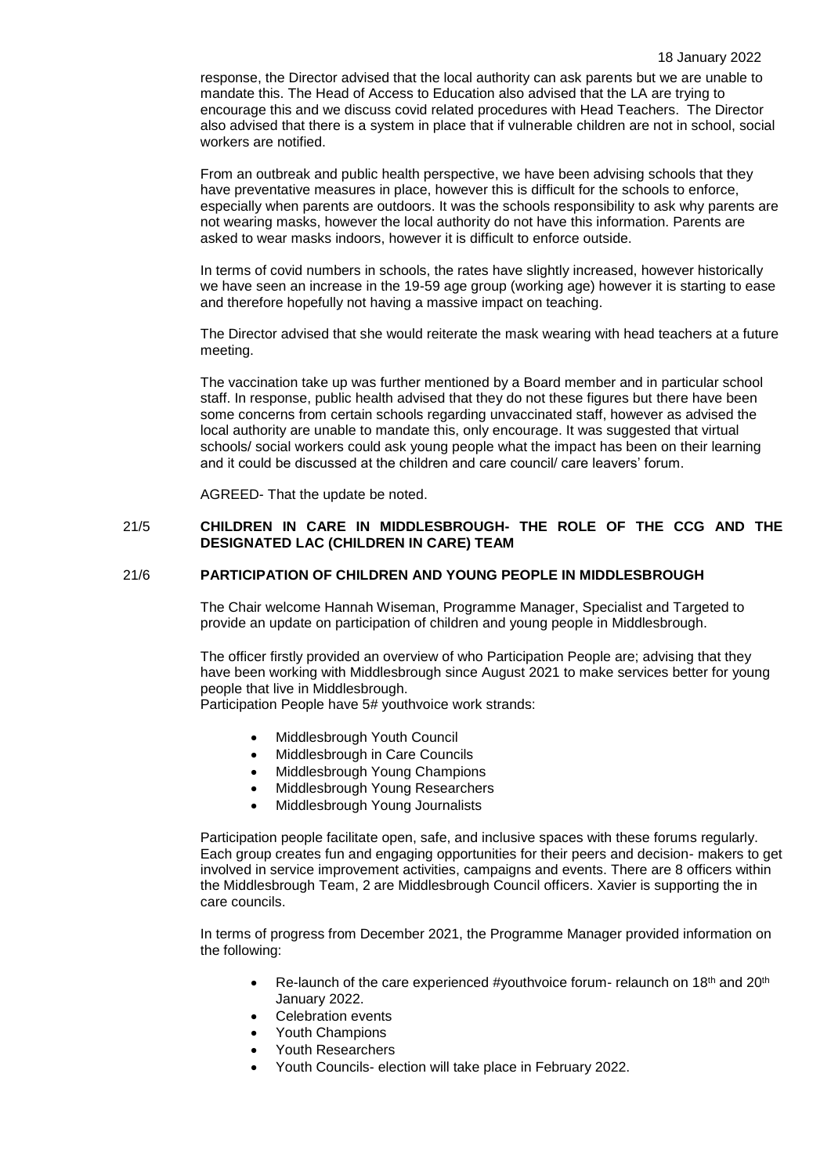response, the Director advised that the local authority can ask parents but we are unable to mandate this. The Head of Access to Education also advised that the LA are trying to encourage this and we discuss covid related procedures with Head Teachers. The Director also advised that there is a system in place that if vulnerable children are not in school, social workers are notified.

From an outbreak and public health perspective, we have been advising schools that they have preventative measures in place, however this is difficult for the schools to enforce, especially when parents are outdoors. It was the schools responsibility to ask why parents are not wearing masks, however the local authority do not have this information. Parents are asked to wear masks indoors, however it is difficult to enforce outside.

In terms of covid numbers in schools, the rates have slightly increased, however historically we have seen an increase in the 19-59 age group (working age) however it is starting to ease and therefore hopefully not having a massive impact on teaching.

The Director advised that she would reiterate the mask wearing with head teachers at a future meeting.

The vaccination take up was further mentioned by a Board member and in particular school staff. In response, public health advised that they do not these figures but there have been some concerns from certain schools regarding unvaccinated staff, however as advised the local authority are unable to mandate this, only encourage. It was suggested that virtual schools/ social workers could ask young people what the impact has been on their learning and it could be discussed at the children and care council/ care leavers' forum.

AGREED- That the update be noted.

### 21/5 **CHILDREN IN CARE IN MIDDLESBROUGH- THE ROLE OF THE CCG AND THE DESIGNATED LAC (CHILDREN IN CARE) TEAM**

# 21/6 **PARTICIPATION OF CHILDREN AND YOUNG PEOPLE IN MIDDLESBROUGH**

The Chair welcome Hannah Wiseman, Programme Manager, Specialist and Targeted to provide an update on participation of children and young people in Middlesbrough.

The officer firstly provided an overview of who Participation People are; advising that they have been working with Middlesbrough since August 2021 to make services better for young people that live in Middlesbrough.

Participation People have 5# youthvoice work strands:

- Middlesbrough Youth Council
- Middlesbrough in Care Councils
- Middlesbrough Young Champions
- Middlesbrough Young Researchers
- Middlesbrough Young Journalists

Participation people facilitate open, safe, and inclusive spaces with these forums regularly. Each group creates fun and engaging opportunities for their peers and decision- makers to get involved in service improvement activities, campaigns and events. There are 8 officers within the Middlesbrough Team, 2 are Middlesbrough Council officers. Xavier is supporting the in care councils.

In terms of progress from December 2021, the Programme Manager provided information on the following:

- Re-launch of the care experienced #youthvoice forum- relaunch on 18<sup>th</sup> and 20<sup>th</sup> January 2022.
- Celebration events
- Youth Champions
- Youth Researchers
- Youth Councils- election will take place in February 2022.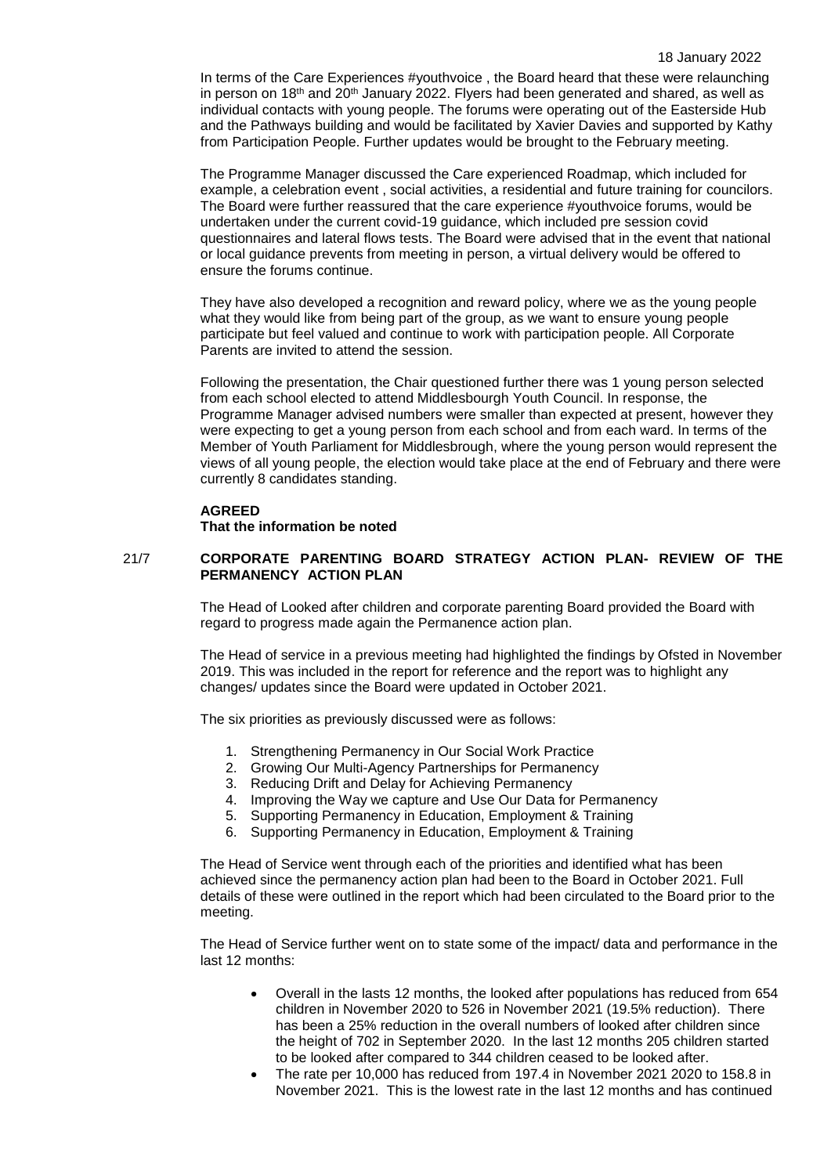In terms of the Care Experiences #youthvoice , the Board heard that these were relaunching in person on 18<sup>th</sup> and 20<sup>th</sup> January 2022. Flyers had been generated and shared, as well as individual contacts with young people. The forums were operating out of the Easterside Hub and the Pathways building and would be facilitated by Xavier Davies and supported by Kathy from Participation People. Further updates would be brought to the February meeting.

The Programme Manager discussed the Care experienced Roadmap, which included for example, a celebration event , social activities, a residential and future training for councilors. The Board were further reassured that the care experience #youthvoice forums, would be undertaken under the current covid-19 guidance, which included pre session covid questionnaires and lateral flows tests. The Board were advised that in the event that national or local guidance prevents from meeting in person, a virtual delivery would be offered to ensure the forums continue.

They have also developed a recognition and reward policy, where we as the young people what they would like from being part of the group, as we want to ensure young people participate but feel valued and continue to work with participation people. All Corporate Parents are invited to attend the session.

Following the presentation, the Chair questioned further there was 1 young person selected from each school elected to attend Middlesbourgh Youth Council. In response, the Programme Manager advised numbers were smaller than expected at present, however they were expecting to get a young person from each school and from each ward. In terms of the Member of Youth Parliament for Middlesbrough, where the young person would represent the views of all young people, the election would take place at the end of February and there were currently 8 candidates standing.

### **AGREED**

**That the information be noted**

# 21/7 **CORPORATE PARENTING BOARD STRATEGY ACTION PLAN- REVIEW OF THE PERMANENCY ACTION PLAN**

The Head of Looked after children and corporate parenting Board provided the Board with regard to progress made again the Permanence action plan.

The Head of service in a previous meeting had highlighted the findings by Ofsted in November 2019. This was included in the report for reference and the report was to highlight any changes/ updates since the Board were updated in October 2021.

The six priorities as previously discussed were as follows:

- 1. Strengthening Permanency in Our Social Work Practice
- 2. Growing Our Multi-Agency Partnerships for Permanency
- 3. Reducing Drift and Delay for Achieving Permanency
- 4. Improving the Way we capture and Use Our Data for Permanency
- 5. Supporting Permanency in Education, Employment & Training
- 6. Supporting Permanency in Education, Employment & Training

The Head of Service went through each of the priorities and identified what has been achieved since the permanency action plan had been to the Board in October 2021. Full details of these were outlined in the report which had been circulated to the Board prior to the meeting.

The Head of Service further went on to state some of the impact/ data and performance in the last 12 months:

- Overall in the lasts 12 months, the looked after populations has reduced from 654 children in November 2020 to 526 in November 2021 (19.5% reduction). There has been a 25% reduction in the overall numbers of looked after children since the height of 702 in September 2020. In the last 12 months 205 children started to be looked after compared to 344 children ceased to be looked after.
- The rate per 10,000 has reduced from 197.4 in November 2021 2020 to 158.8 in November 2021. This is the lowest rate in the last 12 months and has continued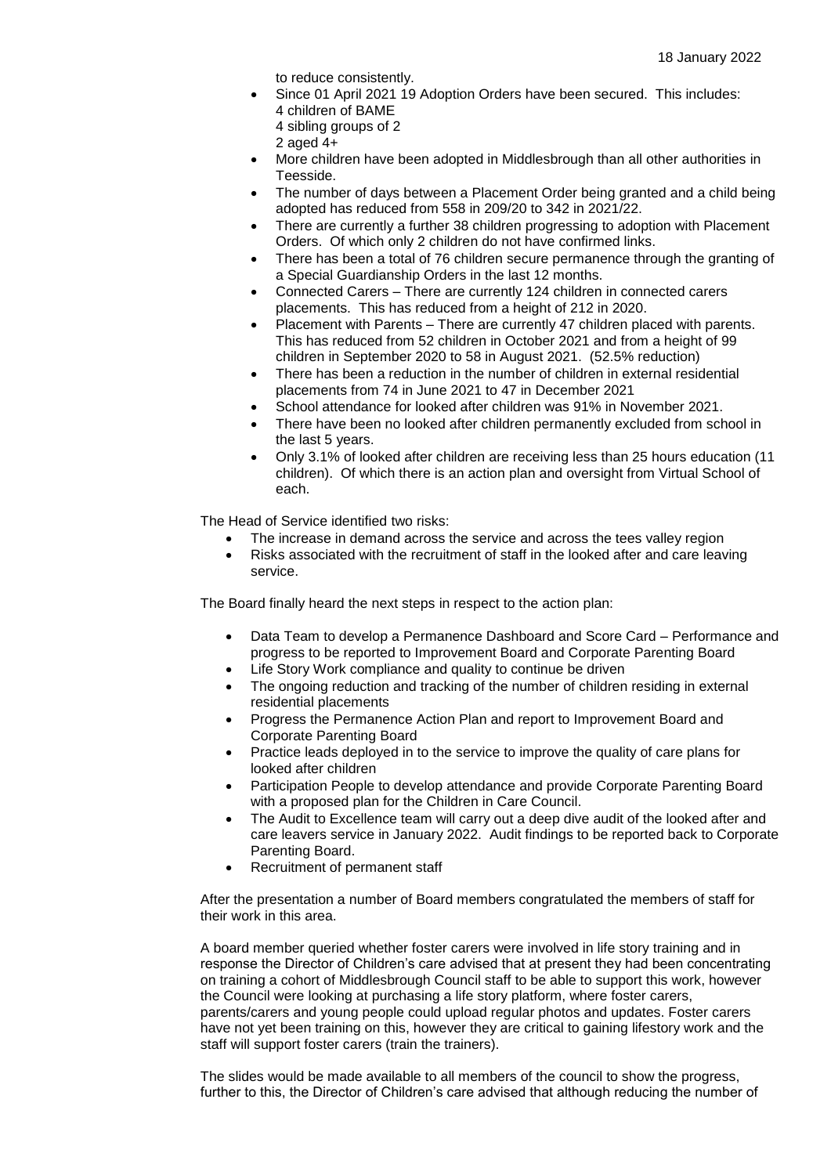to reduce consistently.

- Since 01 April 2021 19 Adoption Orders have been secured. This includes: 4 children of BAME
	- 4 sibling groups of 2
	- 2 aged 4+
- More children have been adopted in Middlesbrough than all other authorities in Teesside.
- The number of days between a Placement Order being granted and a child being adopted has reduced from 558 in 209/20 to 342 in 2021/22.
- There are currently a further 38 children progressing to adoption with Placement Orders. Of which only 2 children do not have confirmed links.
- There has been a total of 76 children secure permanence through the granting of a Special Guardianship Orders in the last 12 months.
- Connected Carers There are currently 124 children in connected carers placements. This has reduced from a height of 212 in 2020.
- Placement with Parents There are currently 47 children placed with parents. This has reduced from 52 children in October 2021 and from a height of 99 children in September 2020 to 58 in August 2021. (52.5% reduction)
- There has been a reduction in the number of children in external residential placements from 74 in June 2021 to 47 in December 2021
- School attendance for looked after children was 91% in November 2021.
- There have been no looked after children permanently excluded from school in the last 5 years.
- Only 3.1% of looked after children are receiving less than 25 hours education (11 children). Of which there is an action plan and oversight from Virtual School of each.

The Head of Service identified two risks:

- The increase in demand across the service and across the tees valley region
- Risks associated with the recruitment of staff in the looked after and care leaving service.

The Board finally heard the next steps in respect to the action plan:

- Data Team to develop a Permanence Dashboard and Score Card Performance and progress to be reported to Improvement Board and Corporate Parenting Board
- Life Story Work compliance and quality to continue be driven
- The ongoing reduction and tracking of the number of children residing in external residential placements
- Progress the Permanence Action Plan and report to Improvement Board and Corporate Parenting Board
- Practice leads deployed in to the service to improve the quality of care plans for looked after children
- Participation People to develop attendance and provide Corporate Parenting Board with a proposed plan for the Children in Care Council.
- The Audit to Excellence team will carry out a deep dive audit of the looked after and care leavers service in January 2022. Audit findings to be reported back to Corporate Parenting Board.
- Recruitment of permanent staff

After the presentation a number of Board members congratulated the members of staff for their work in this area.

A board member queried whether foster carers were involved in life story training and in response the Director of Children's care advised that at present they had been concentrating on training a cohort of Middlesbrough Council staff to be able to support this work, however the Council were looking at purchasing a life story platform, where foster carers, parents/carers and young people could upload regular photos and updates. Foster carers have not yet been training on this, however they are critical to gaining lifestory work and the staff will support foster carers (train the trainers).

The slides would be made available to all members of the council to show the progress, further to this, the Director of Children's care advised that although reducing the number of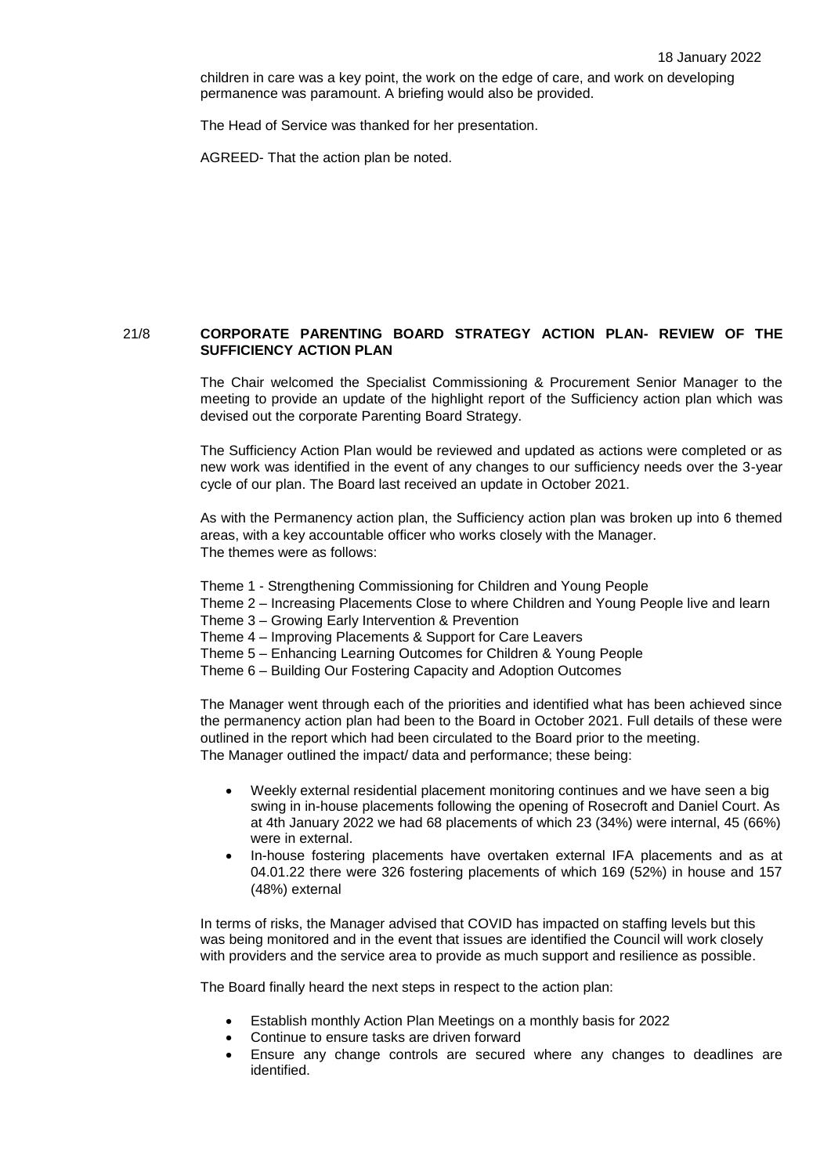children in care was a key point, the work on the edge of care, and work on developing permanence was paramount. A briefing would also be provided.

The Head of Service was thanked for her presentation.

AGREED- That the action plan be noted.

# 21/8 **CORPORATE PARENTING BOARD STRATEGY ACTION PLAN- REVIEW OF THE SUFFICIENCY ACTION PLAN**

The Chair welcomed the Specialist Commissioning & Procurement Senior Manager to the meeting to provide an update of the highlight report of the Sufficiency action plan which was devised out the corporate Parenting Board Strategy.

The Sufficiency Action Plan would be reviewed and updated as actions were completed or as new work was identified in the event of any changes to our sufficiency needs over the 3-year cycle of our plan. The Board last received an update in October 2021.

As with the Permanency action plan, the Sufficiency action plan was broken up into 6 themed areas, with a key accountable officer who works closely with the Manager. The themes were as follows:

Theme 1 - Strengthening Commissioning for Children and Young People

- Theme 2 Increasing Placements Close to where Children and Young People live and learn
- Theme 3 Growing Early Intervention & Prevention

Theme 4 – Improving Placements & Support for Care Leavers

Theme 5 – Enhancing Learning Outcomes for Children & Young People

Theme 6 – Building Our Fostering Capacity and Adoption Outcomes

The Manager went through each of the priorities and identified what has been achieved since the permanency action plan had been to the Board in October 2021. Full details of these were outlined in the report which had been circulated to the Board prior to the meeting. The Manager outlined the impact/ data and performance; these being:

- Weekly external residential placement monitoring continues and we have seen a big swing in in-house placements following the opening of Rosecroft and Daniel Court. As at 4th January 2022 we had 68 placements of which 23 (34%) were internal, 45 (66%) were in external.
- In-house fostering placements have overtaken external IFA placements and as at 04.01.22 there were 326 fostering placements of which 169 (52%) in house and 157 (48%) external

In terms of risks, the Manager advised that COVID has impacted on staffing levels but this was being monitored and in the event that issues are identified the Council will work closely with providers and the service area to provide as much support and resilience as possible.

The Board finally heard the next steps in respect to the action plan:

- Establish monthly Action Plan Meetings on a monthly basis for 2022
- Continue to ensure tasks are driven forward
- Ensure any change controls are secured where any changes to deadlines are identified.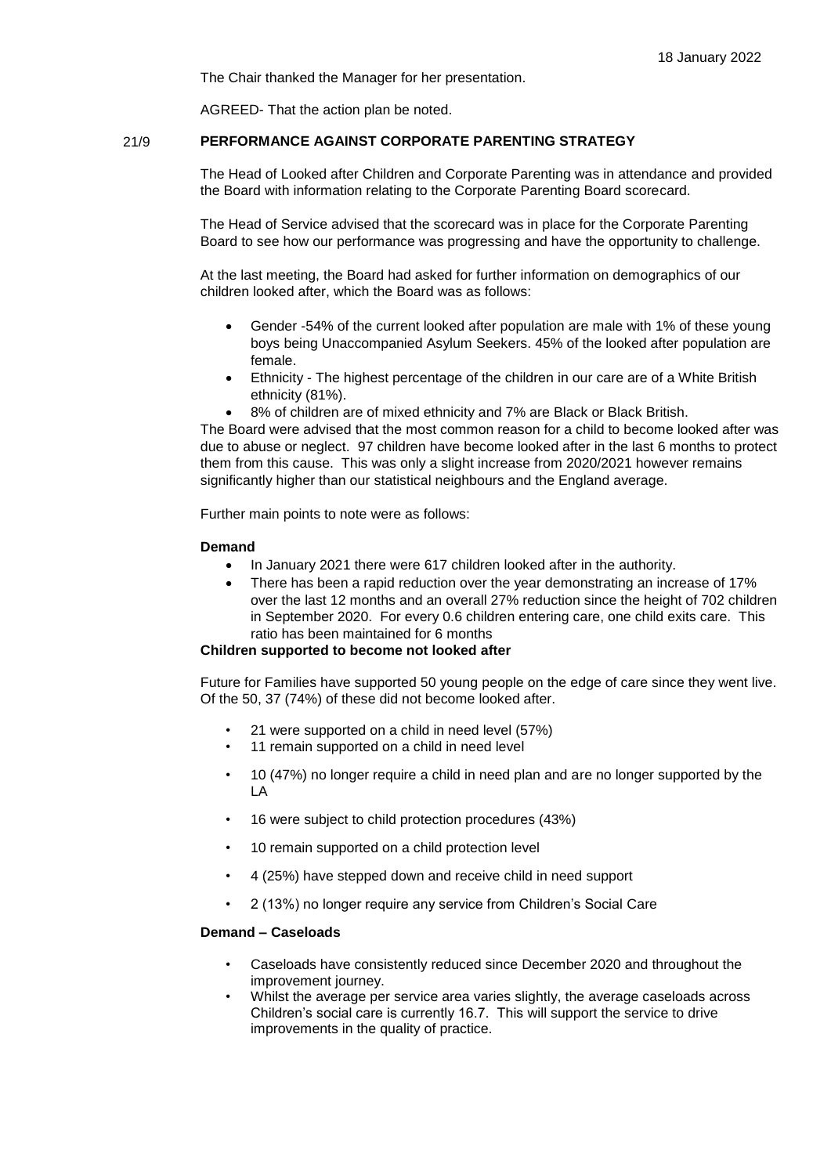The Chair thanked the Manager for her presentation.

AGREED- That the action plan be noted.

## 21/9 **PERFORMANCE AGAINST CORPORATE PARENTING STRATEGY**

The Head of Looked after Children and Corporate Parenting was in attendance and provided the Board with information relating to the Corporate Parenting Board scorecard.

The Head of Service advised that the scorecard was in place for the Corporate Parenting Board to see how our performance was progressing and have the opportunity to challenge.

At the last meeting, the Board had asked for further information on demographics of our children looked after, which the Board was as follows:

- Gender -54% of the current looked after population are male with 1% of these young boys being Unaccompanied Asylum Seekers. 45% of the looked after population are female.
- Ethnicity The highest percentage of the children in our care are of a White British ethnicity (81%).
- 8% of children are of mixed ethnicity and 7% are Black or Black British.

The Board were advised that the most common reason for a child to become looked after was due to abuse or neglect. 97 children have become looked after in the last 6 months to protect them from this cause. This was only a slight increase from 2020/2021 however remains significantly higher than our statistical neighbours and the England average.

Further main points to note were as follows:

### **Demand**

- In January 2021 there were 617 children looked after in the authority.
- There has been a rapid reduction over the year demonstrating an increase of 17% over the last 12 months and an overall 27% reduction since the height of 702 children in September 2020. For every 0.6 children entering care, one child exits care. This ratio has been maintained for 6 months

### **Children supported to become not looked after**

Future for Families have supported 50 young people on the edge of care since they went live. Of the 50, 37 (74%) of these did not become looked after.

- 21 were supported on a child in need level (57%)
- 11 remain supported on a child in need level
- 10 (47%) no longer require a child in need plan and are no longer supported by the LA
- 16 were subject to child protection procedures (43%)
- 10 remain supported on a child protection level
- 4 (25%) have stepped down and receive child in need support
- 2 (13%) no longer require any service from Children's Social Care

#### **Demand – Caseloads**

- Caseloads have consistently reduced since December 2020 and throughout the improvement journey.
- Whilst the average per service area varies slightly, the average caseloads across Children's social care is currently 16.7. This will support the service to drive improvements in the quality of practice.